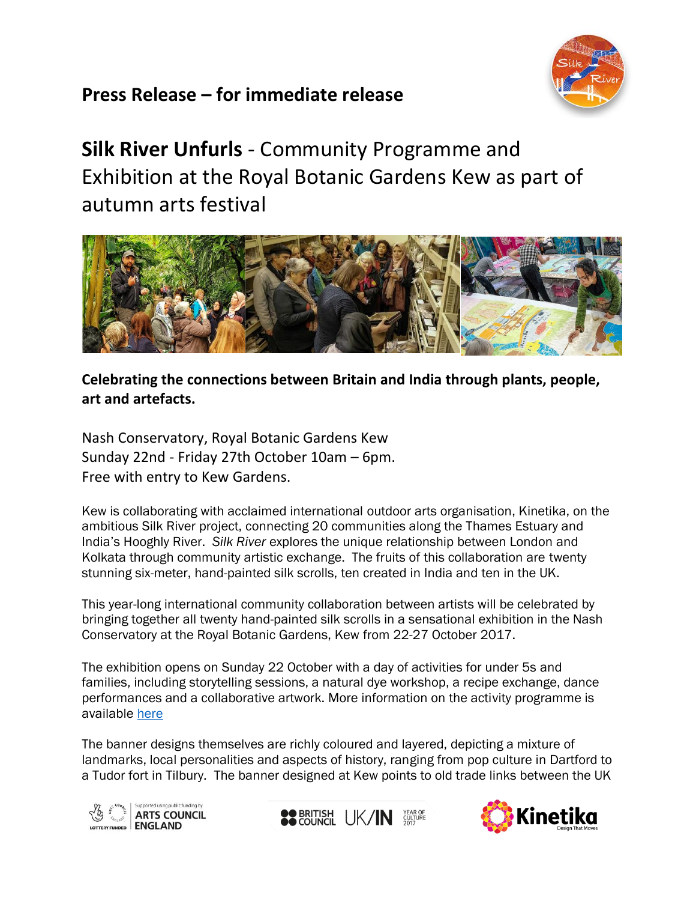

# **Press Release – for immediate release**

**Silk River Unfurls** - Community Programme and Exhibition at the Royal Botanic Gardens Kew as part of autumn arts festival



## **Celebrating the connections between Britain and India through plants, people, art and artefacts.**

Nash Conservatory, Royal Botanic Gardens Kew Sunday 22nd - Friday 27th October 10am – 6pm. Free with entry to Kew Gardens.

Kew is collaborating with acclaimed international outdoor arts organisation, Kinetika, on the ambitious Silk River project, connecting 20 communities along the Thames Estuary and India's Hooghly River. *Silk River* explores the unique relationship between London and Kolkata through community artistic exchange. The fruits of this collaboration are twenty stunning six-meter, hand-painted silk scrolls, ten created in India and ten in the UK.

This year-long international community collaboration between artists will be celebrated by bringing together all twenty hand-painted silk scrolls in a sensational exhibition in the Nash Conservatory at the Royal Botanic Gardens, Kew from 22-27 October 2017.

The exhibition opens on Sunday 22 October with a day of activities for under 5s and families, including storytelling sessions, a natural dye workshop, a recipe exchange, dance performances and a collaborative artwork. More information on the activity programme is available [here](https://www.kew.org/kew-gardens/whats-on/artful-autumn-family-fun-with-the-silk-river-scrolls)

The banner designs themselves are richly coloured and layered, depicting a mixture of landmarks, local personalities and aspects of history, ranging from pop culture in Dartford to a Tudor fort in Tilbury. The banner designed at Kew points to old trade links between the UK





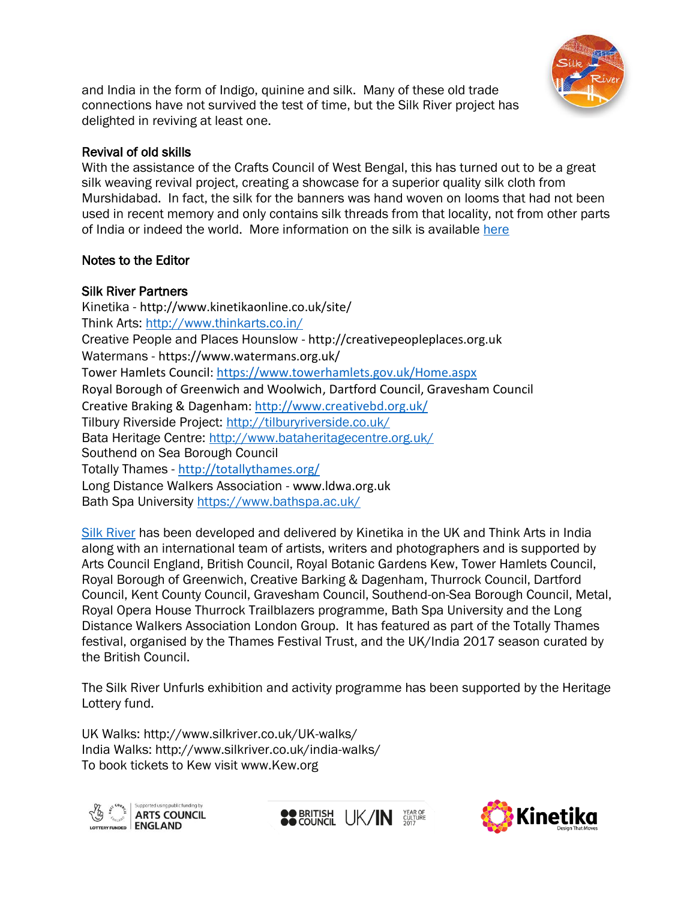

and India in the form of Indigo, quinine and silk. Many of these old trade connections have not survived the test of time, but the Silk River project has delighted in reviving at least one.

#### Revival of old skills

With the assistance of the Crafts Council of West Bengal, this has turned out to be a great silk weaving revival project, creating a showcase for a superior quality silk cloth from Murshidabad. In fact, the silk for the banners was hand woven on looms that had not been used in recent memory and only contains silk threads from that locality, not from other parts of India or indeed the world. More information on the silk is available [here](http://www.silkriver.co.uk/murshidabad-silk/)

#### Notes to the Editor

#### Silk River Partners

Kinetika - <http://www.kinetikaonline.co.uk/site/> Think Arts:<http://www.thinkarts.co.in/> Creative People and Places Hounslow - [http://creativepeopleplaces.org.uk](http://creativepeopleplaces.org.uk/) Watermans - <https://www.watermans.org.uk/> Tower Hamlets Council:<https://www.towerhamlets.gov.uk/Home.aspx> Royal Borough of Greenwich and Woolwich, Dartford Council, Gravesham Council Creative Braking & Dagenham:<http://www.creativebd.org.uk/> Tilbury Riverside Project:<http://tilburyriverside.co.uk/> Bata Heritage Centre:<http://www.bataheritagecentre.org.uk/> Southend on Sea Borough Council Totally Thames - <http://totallythames.org/> Long Distance Walkers Association - [www.ldwa.org.uk](http://www.ldwa.org.uk/)  Bath Spa University<https://www.bathspa.ac.uk/>

[Silk River](file:///C:/Users/CO36KG/AppData/Local/Microsoft/Windows/INetCache/Content.Outlook/CRHTNSLK/www.silkriver.co.uk) has been developed and delivered by Kinetika in the UK and Think Arts in India along with an international team of artists, writers and photographers and is supported by Arts Council England, British Council, Royal Botanic Gardens Kew, Tower Hamlets Council, Royal Borough of Greenwich, Creative Barking & Dagenham, Thurrock Council, Dartford Council, Kent County Council, Gravesham Council, Southend-on-Sea Borough Council, Metal, Royal Opera House Thurrock Trailblazers programme, Bath Spa University and the Long Distance Walkers Association London Group. It has featured as part of the Totally Thames festival, organised by the Thames Festival Trust, and the UK/India 2017 season curated by the British Council.

The Silk River Unfurls exhibition and activity programme has been supported by the Heritage Lottery fund.

UK Walks: http://www.silkriver.co.uk/UK-walks/ India Walks: http://www.silkriver.co.uk/india-walks/ To book tickets to Kew visit www.Kew.org





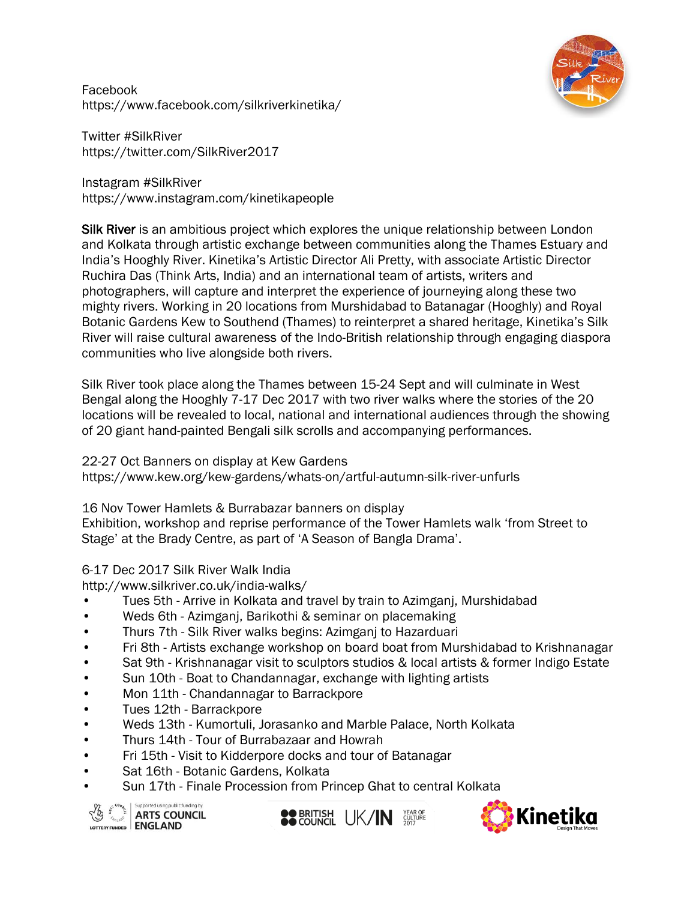

Facebook https://www.facebook.com/silkriverkinetika/

Twitter #SilkRiver https://twitter.com/SilkRiver2017

Instagram #SilkRiver https://www.instagram.com/kinetikapeople

Silk River is an ambitious project which explores the unique relationship between London and Kolkata through artistic exchange between communities along the Thames Estuary and India's Hooghly River. Kinetika's Artistic Director Ali Pretty, with associate Artistic Director Ruchira Das (Think Arts, India) and an international team of artists, writers and photographers, will capture and interpret the experience of journeying along these two mighty rivers. Working in 20 locations from Murshidabad to Batanagar (Hooghly) and Royal Botanic Gardens Kew to Southend (Thames) to reinterpret a shared heritage, Kinetika's Silk River will raise cultural awareness of the Indo-British relationship through engaging diaspora communities who live alongside both rivers.

Silk River took place along the Thames between 15-24 Sept and will culminate in West Bengal along the Hooghly 7-17 Dec 2017 with two river walks where the stories of the 20 locations will be revealed to local, national and international audiences through the showing of 20 giant hand-painted Bengali silk scrolls and accompanying performances.

#### 22-27 Oct Banners on display at Kew Gardens

https://www.kew.org/kew-gardens/whats-on/artful-autumn-silk-river-unfurls

16 Nov Tower Hamlets & Burrabazar banners on display

Exhibition, workshop and reprise performance of the Tower Hamlets walk 'from Street to Stage' at the Brady Centre, as part of 'A Season of Bangla Drama'.

### 6-17 Dec 2017 Silk River Walk India

http://www.silkriver.co.uk/india-walks/

- Tues 5th Arrive in Kolkata and travel by train to Azimganj, Murshidabad
- Weds 6th Azimganj, Barikothi & seminar on placemaking
- Thurs 7th Silk River walks begins: Azimganj to Hazarduari
- Fri 8th Artists exchange workshop on board boat from Murshidabad to Krishnanagar
- Sat 9th Krishnanagar visit to sculptors studios & local artists & former Indigo Estate
- Sun 10th Boat to Chandannagar, exchange with lighting artists
- Mon 11th Chandannagar to Barrackpore
- Tues 12th Barrackpore
- Weds 13th Kumortuli, Jorasanko and Marble Palace, North Kolkata
- Thurs 14th Tour of Burrabazaar and Howrah
- Fri 15th Visit to Kidderpore docks and tour of Batanagar
- Sat 16th Botanic Gardens, Kolkata
- Sun 17th Finale Procession from Princep Ghat to central Kolkata